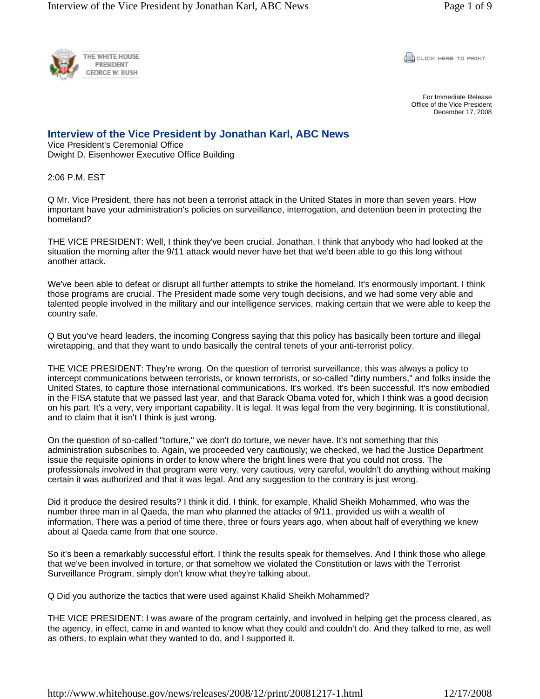

CLICK HERE TO PRINT

For Immediate Release Office of the Vice President December 17, 2008

## **Interview of the Vice President by Jonathan Karl, ABC News**

Vice President's Ceremonial Office Dwight D. Eisenhower Executive Office Building

2:06 P.M. EST

Q Mr. Vice President, there has not been a terrorist attack in the United States in more than seven years. How important have your administration's policies on surveillance, interrogation, and detention been in protecting the homeland?

THE VICE PRESIDENT: Well, I think they've been crucial, Jonathan. I think that anybody who had looked at the situation the morning after the 9/11 attack would never have bet that we'd been able to go this long without another attack.

We've been able to defeat or disrupt all further attempts to strike the homeland. It's enormously important. I think those programs are crucial. The President made some very tough decisions, and we had some very able and talented people involved in the military and our intelligence services, making certain that we were able to keep the country safe.

Q But you've heard leaders, the incoming Congress saying that this policy has basically been torture and illegal wiretapping, and that they want to undo basically the central tenets of your anti-terrorist policy.

THE VICE PRESIDENT: They're wrong. On the question of terrorist surveillance, this was always a policy to intercept communications between terrorists, or known terrorists, or so-called "dirty numbers," and folks inside the United States, to capture those international communications. It's worked. It's been successful. It's now embodied in the FISA statute that we passed last year, and that Barack Obama voted for, which I think was a good decision on his part. It's a very, very important capability. It is legal. It was legal from the very beginning. It is constitutional, and to claim that it isn't I think is just wrong.

On the question of so-called "torture," we don't do torture, we never have. It's not something that this administration subscribes to. Again, we proceeded very cautiously; we checked, we had the Justice Department issue the requisite opinions in order to know where the bright lines were that you could not cross. The professionals involved in that program were very, very cautious, very careful, wouldn't do anything without making certain it was authorized and that it was legal. And any suggestion to the contrary is just wrong.

Did it produce the desired results? I think it did. I think, for example, Khalid Sheikh Mohammed, who was the number three man in al Qaeda, the man who planned the attacks of 9/11, provided us with a wealth of information. There was a period of time there, three or fours years ago, when about half of everything we knew about al Qaeda came from that one source.

So it's been a remarkably successful effort. I think the results speak for themselves. And I think those who allege that we've been involved in torture, or that somehow we violated the Constitution or laws with the Terrorist Surveillance Program, simply don't know what they're talking about.

Q Did you authorize the tactics that were used against Khalid Sheikh Mohammed?

THE VICE PRESIDENT: I was aware of the program certainly, and involved in helping get the process cleared, as the agency, in effect, came in and wanted to know what they could and couldn't do. And they talked to me, as well as others, to explain what they wanted to do, and I supported it.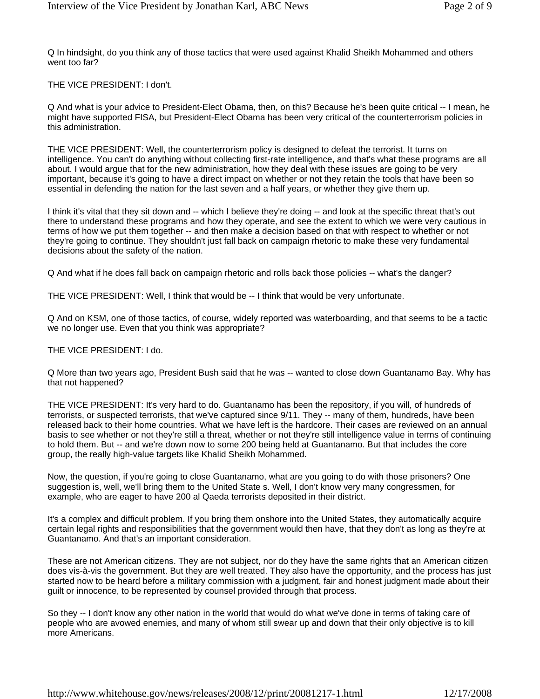Q In hindsight, do you think any of those tactics that were used against Khalid Sheikh Mohammed and others went too far?

THE VICE PRESIDENT: I don't.

Q And what is your advice to President-Elect Obama, then, on this? Because he's been quite critical -- I mean, he might have supported FISA, but President-Elect Obama has been very critical of the counterterrorism policies in this administration.

THE VICE PRESIDENT: Well, the counterterrorism policy is designed to defeat the terrorist. It turns on intelligence. You can't do anything without collecting first-rate intelligence, and that's what these programs are all about. I would argue that for the new administration, how they deal with these issues are going to be very important, because it's going to have a direct impact on whether or not they retain the tools that have been so essential in defending the nation for the last seven and a half years, or whether they give them up.

I think it's vital that they sit down and -- which I believe they're doing -- and look at the specific threat that's out there to understand these programs and how they operate, and see the extent to which we were very cautious in terms of how we put them together -- and then make a decision based on that with respect to whether or not they're going to continue. They shouldn't just fall back on campaign rhetoric to make these very fundamental decisions about the safety of the nation.

Q And what if he does fall back on campaign rhetoric and rolls back those policies -- what's the danger?

THE VICE PRESIDENT: Well, I think that would be -- I think that would be very unfortunate.

Q And on KSM, one of those tactics, of course, widely reported was waterboarding, and that seems to be a tactic we no longer use. Even that you think was appropriate?

THE VICE PRESIDENT: I do.

Q More than two years ago, President Bush said that he was -- wanted to close down Guantanamo Bay. Why has that not happened?

THE VICE PRESIDENT: It's very hard to do. Guantanamo has been the repository, if you will, of hundreds of terrorists, or suspected terrorists, that we've captured since 9/11. They -- many of them, hundreds, have been released back to their home countries. What we have left is the hardcore. Their cases are reviewed on an annual basis to see whether or not they're still a threat, whether or not they're still intelligence value in terms of continuing to hold them. But -- and we're down now to some 200 being held at Guantanamo. But that includes the core group, the really high-value targets like Khalid Sheikh Mohammed.

Now, the question, if you're going to close Guantanamo, what are you going to do with those prisoners? One suggestion is, well, we'll bring them to the United State s. Well, I don't know very many congressmen, for example, who are eager to have 200 al Qaeda terrorists deposited in their district.

It's a complex and difficult problem. If you bring them onshore into the United States, they automatically acquire certain legal rights and responsibilities that the government would then have, that they don't as long as they're at Guantanamo. And that's an important consideration.

These are not American citizens. They are not subject, nor do they have the same rights that an American citizen does vis-à-vis the government. But they are well treated. They also have the opportunity, and the process has just started now to be heard before a military commission with a judgment, fair and honest judgment made about their guilt or innocence, to be represented by counsel provided through that process.

So they -- I don't know any other nation in the world that would do what we've done in terms of taking care of people who are avowed enemies, and many of whom still swear up and down that their only objective is to kill more Americans.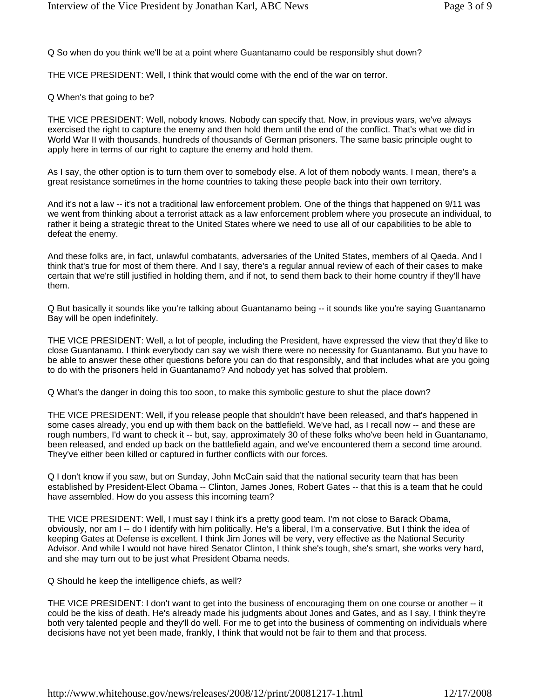Q So when do you think we'll be at a point where Guantanamo could be responsibly shut down?

THE VICE PRESIDENT: Well, I think that would come with the end of the war on terror.

Q When's that going to be?

THE VICE PRESIDENT: Well, nobody knows. Nobody can specify that. Now, in previous wars, we've always exercised the right to capture the enemy and then hold them until the end of the conflict. That's what we did in World War II with thousands, hundreds of thousands of German prisoners. The same basic principle ought to apply here in terms of our right to capture the enemy and hold them.

As I say, the other option is to turn them over to somebody else. A lot of them nobody wants. I mean, there's a great resistance sometimes in the home countries to taking these people back into their own territory.

And it's not a law -- it's not a traditional law enforcement problem. One of the things that happened on 9/11 was we went from thinking about a terrorist attack as a law enforcement problem where you prosecute an individual, to rather it being a strategic threat to the United States where we need to use all of our capabilities to be able to defeat the enemy.

And these folks are, in fact, unlawful combatants, adversaries of the United States, members of al Qaeda. And I think that's true for most of them there. And I say, there's a regular annual review of each of their cases to make certain that we're still justified in holding them, and if not, to send them back to their home country if they'll have them.

Q But basically it sounds like you're talking about Guantanamo being -- it sounds like you're saying Guantanamo Bay will be open indefinitely.

THE VICE PRESIDENT: Well, a lot of people, including the President, have expressed the view that they'd like to close Guantanamo. I think everybody can say we wish there were no necessity for Guantanamo. But you have to be able to answer these other questions before you can do that responsibly, and that includes what are you going to do with the prisoners held in Guantanamo? And nobody yet has solved that problem.

Q What's the danger in doing this too soon, to make this symbolic gesture to shut the place down?

THE VICE PRESIDENT: Well, if you release people that shouldn't have been released, and that's happened in some cases already, you end up with them back on the battlefield. We've had, as I recall now -- and these are rough numbers, I'd want to check it -- but, say, approximately 30 of these folks who've been held in Guantanamo, been released, and ended up back on the battlefield again, and we've encountered them a second time around. They've either been killed or captured in further conflicts with our forces.

Q I don't know if you saw, but on Sunday, John McCain said that the national security team that has been established by President-Elect Obama -- Clinton, James Jones, Robert Gates -- that this is a team that he could have assembled. How do you assess this incoming team?

THE VICE PRESIDENT: Well, I must say I think it's a pretty good team. I'm not close to Barack Obama, obviously, nor am I -- do I identify with him politically. He's a liberal, I'm a conservative. But I think the idea of keeping Gates at Defense is excellent. I think Jim Jones will be very, very effective as the National Security Advisor. And while I would not have hired Senator Clinton, I think she's tough, she's smart, she works very hard, and she may turn out to be just what President Obama needs.

Q Should he keep the intelligence chiefs, as well?

THE VICE PRESIDENT: I don't want to get into the business of encouraging them on one course or another -- it could be the kiss of death. He's already made his judgments about Jones and Gates, and as I say, I think they're both very talented people and they'll do well. For me to get into the business of commenting on individuals where decisions have not yet been made, frankly, I think that would not be fair to them and that process.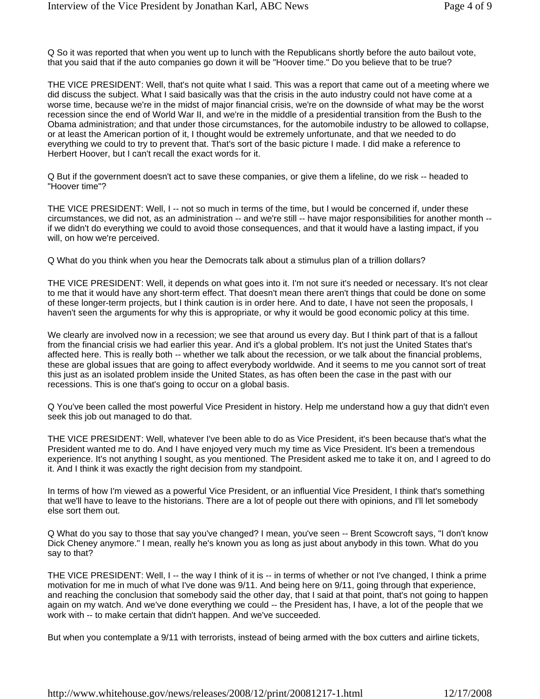Q So it was reported that when you went up to lunch with the Republicans shortly before the auto bailout vote, that you said that if the auto companies go down it will be "Hoover time." Do you believe that to be true?

THE VICE PRESIDENT: Well, that's not quite what I said. This was a report that came out of a meeting where we did discuss the subject. What I said basically was that the crisis in the auto industry could not have come at a worse time, because we're in the midst of major financial crisis, we're on the downside of what may be the worst recession since the end of World War II, and we're in the middle of a presidential transition from the Bush to the Obama administration; and that under those circumstances, for the automobile industry to be allowed to collapse, or at least the American portion of it, I thought would be extremely unfortunate, and that we needed to do everything we could to try to prevent that. That's sort of the basic picture I made. I did make a reference to Herbert Hoover, but I can't recall the exact words for it.

Q But if the government doesn't act to save these companies, or give them a lifeline, do we risk -- headed to "Hoover time"?

THE VICE PRESIDENT: Well, I -- not so much in terms of the time, but I would be concerned if, under these circumstances, we did not, as an administration -- and we're still -- have major responsibilities for another month - if we didn't do everything we could to avoid those consequences, and that it would have a lasting impact, if you will, on how we're perceived.

Q What do you think when you hear the Democrats talk about a stimulus plan of a trillion dollars?

THE VICE PRESIDENT: Well, it depends on what goes into it. I'm not sure it's needed or necessary. It's not clear to me that it would have any short-term effect. That doesn't mean there aren't things that could be done on some of these longer-term projects, but I think caution is in order here. And to date, I have not seen the proposals, I haven't seen the arguments for why this is appropriate, or why it would be good economic policy at this time.

We clearly are involved now in a recession; we see that around us every day. But I think part of that is a fallout from the financial crisis we had earlier this year. And it's a global problem. It's not just the United States that's affected here. This is really both -- whether we talk about the recession, or we talk about the financial problems, these are global issues that are going to affect everybody worldwide. And it seems to me you cannot sort of treat this just as an isolated problem inside the United States, as has often been the case in the past with our recessions. This is one that's going to occur on a global basis.

Q You've been called the most powerful Vice President in history. Help me understand how a guy that didn't even seek this job out managed to do that.

THE VICE PRESIDENT: Well, whatever I've been able to do as Vice President, it's been because that's what the President wanted me to do. And I have enjoyed very much my time as Vice President. It's been a tremendous experience. It's not anything I sought, as you mentioned. The President asked me to take it on, and I agreed to do it. And I think it was exactly the right decision from my standpoint.

In terms of how I'm viewed as a powerful Vice President, or an influential Vice President, I think that's something that we'll have to leave to the historians. There are a lot of people out there with opinions, and I'll let somebody else sort them out.

Q What do you say to those that say you've changed? I mean, you've seen -- Brent Scowcroft says, "I don't know Dick Cheney anymore." I mean, really he's known you as long as just about anybody in this town. What do you say to that?

THE VICE PRESIDENT: Well, I -- the way I think of it is -- in terms of whether or not I've changed, I think a prime motivation for me in much of what I've done was 9/11. And being here on 9/11, going through that experience, and reaching the conclusion that somebody said the other day, that I said at that point, that's not going to happen again on my watch. And we've done everything we could -- the President has, I have, a lot of the people that we work with -- to make certain that didn't happen. And we've succeeded.

But when you contemplate a 9/11 with terrorists, instead of being armed with the box cutters and airline tickets,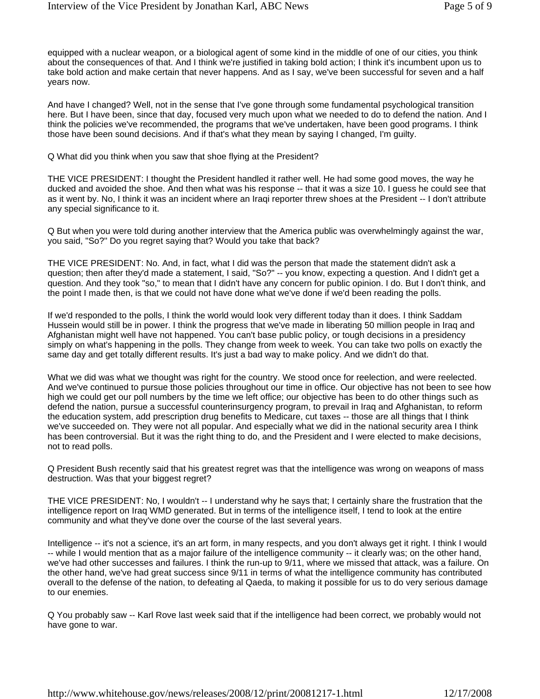equipped with a nuclear weapon, or a biological agent of some kind in the middle of one of our cities, you think about the consequences of that. And I think we're justified in taking bold action; I think it's incumbent upon us to take bold action and make certain that never happens. And as I say, we've been successful for seven and a half years now.

And have I changed? Well, not in the sense that I've gone through some fundamental psychological transition here. But I have been, since that day, focused very much upon what we needed to do to defend the nation. And I think the policies we've recommended, the programs that we've undertaken, have been good programs. I think those have been sound decisions. And if that's what they mean by saying I changed, I'm guilty.

Q What did you think when you saw that shoe flying at the President?

THE VICE PRESIDENT: I thought the President handled it rather well. He had some good moves, the way he ducked and avoided the shoe. And then what was his response -- that it was a size 10. I guess he could see that as it went by. No, I think it was an incident where an Iraqi reporter threw shoes at the President -- I don't attribute any special significance to it.

Q But when you were told during another interview that the America public was overwhelmingly against the war, you said, "So?" Do you regret saying that? Would you take that back?

THE VICE PRESIDENT: No. And, in fact, what I did was the person that made the statement didn't ask a question; then after they'd made a statement, I said, "So?" -- you know, expecting a question. And I didn't get a question. And they took "so," to mean that I didn't have any concern for public opinion. I do. But I don't think, and the point I made then, is that we could not have done what we've done if we'd been reading the polls.

If we'd responded to the polls, I think the world would look very different today than it does. I think Saddam Hussein would still be in power. I think the progress that we've made in liberating 50 million people in Iraq and Afghanistan might well have not happened. You can't base public policy, or tough decisions in a presidency simply on what's happening in the polls. They change from week to week. You can take two polls on exactly the same day and get totally different results. It's just a bad way to make policy. And we didn't do that.

What we did was what we thought was right for the country. We stood once for reelection, and were reelected. And we've continued to pursue those policies throughout our time in office. Our objective has not been to see how high we could get our poll numbers by the time we left office; our objective has been to do other things such as defend the nation, pursue a successful counterinsurgency program, to prevail in Iraq and Afghanistan, to reform the education system, add prescription drug benefits to Medicare, cut taxes -- those are all things that I think we've succeeded on. They were not all popular. And especially what we did in the national security area I think has been controversial. But it was the right thing to do, and the President and I were elected to make decisions, not to read polls.

Q President Bush recently said that his greatest regret was that the intelligence was wrong on weapons of mass destruction. Was that your biggest regret?

THE VICE PRESIDENT: No, I wouldn't -- I understand why he says that; I certainly share the frustration that the intelligence report on Iraq WMD generated. But in terms of the intelligence itself, I tend to look at the entire community and what they've done over the course of the last several years.

Intelligence -- it's not a science, it's an art form, in many respects, and you don't always get it right. I think I would -- while I would mention that as a major failure of the intelligence community -- it clearly was; on the other hand, we've had other successes and failures. I think the run-up to 9/11, where we missed that attack, was a failure. On the other hand, we've had great success since 9/11 in terms of what the intelligence community has contributed overall to the defense of the nation, to defeating al Qaeda, to making it possible for us to do very serious damage to our enemies.

Q You probably saw -- Karl Rove last week said that if the intelligence had been correct, we probably would not have gone to war.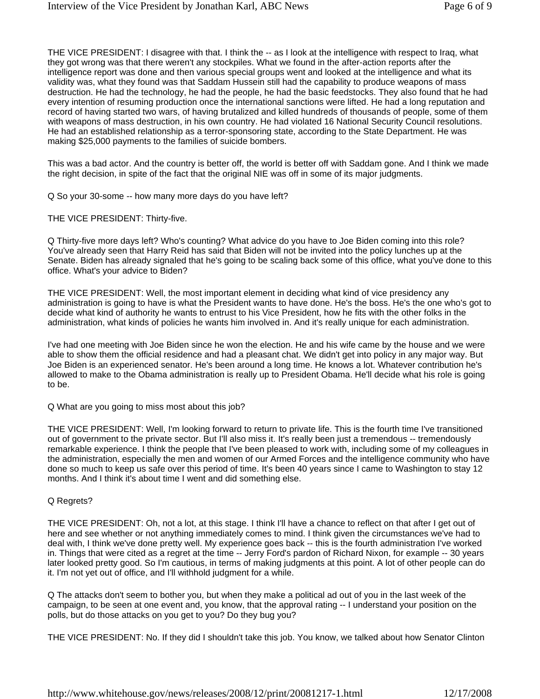THE VICE PRESIDENT: I disagree with that. I think the -- as I look at the intelligence with respect to Iraq, what they got wrong was that there weren't any stockpiles. What we found in the after-action reports after the intelligence report was done and then various special groups went and looked at the intelligence and what its validity was, what they found was that Saddam Hussein still had the capability to produce weapons of mass destruction. He had the technology, he had the people, he had the basic feedstocks. They also found that he had every intention of resuming production once the international sanctions were lifted. He had a long reputation and record of having started two wars, of having brutalized and killed hundreds of thousands of people, some of them with weapons of mass destruction, in his own country. He had violated 16 National Security Council resolutions. He had an established relationship as a terror-sponsoring state, according to the State Department. He was making \$25,000 payments to the families of suicide bombers.

This was a bad actor. And the country is better off, the world is better off with Saddam gone. And I think we made the right decision, in spite of the fact that the original NIE was off in some of its major judgments.

Q So your 30-some -- how many more days do you have left?

THE VICE PRESIDENT: Thirty-five.

Q Thirty-five more days left? Who's counting? What advice do you have to Joe Biden coming into this role? You've already seen that Harry Reid has said that Biden will not be invited into the policy lunches up at the Senate. Biden has already signaled that he's going to be scaling back some of this office, what you've done to this office. What's your advice to Biden?

THE VICE PRESIDENT: Well, the most important element in deciding what kind of vice presidency any administration is going to have is what the President wants to have done. He's the boss. He's the one who's got to decide what kind of authority he wants to entrust to his Vice President, how he fits with the other folks in the administration, what kinds of policies he wants him involved in. And it's really unique for each administration.

I've had one meeting with Joe Biden since he won the election. He and his wife came by the house and we were able to show them the official residence and had a pleasant chat. We didn't get into policy in any major way. But Joe Biden is an experienced senator. He's been around a long time. He knows a lot. Whatever contribution he's allowed to make to the Obama administration is really up to President Obama. He'll decide what his role is going to be.

Q What are you going to miss most about this job?

THE VICE PRESIDENT: Well, I'm looking forward to return to private life. This is the fourth time I've transitioned out of government to the private sector. But I'll also miss it. It's really been just a tremendous -- tremendously remarkable experience. I think the people that I've been pleased to work with, including some of my colleagues in the administration, especially the men and women of our Armed Forces and the intelligence community who have done so much to keep us safe over this period of time. It's been 40 years since I came to Washington to stay 12 months. And I think it's about time I went and did something else.

## Q Regrets?

THE VICE PRESIDENT: Oh, not a lot, at this stage. I think I'll have a chance to reflect on that after I get out of here and see whether or not anything immediately comes to mind. I think given the circumstances we've had to deal with, I think we've done pretty well. My experience goes back -- this is the fourth administration I've worked in. Things that were cited as a regret at the time -- Jerry Ford's pardon of Richard Nixon, for example -- 30 years later looked pretty good. So I'm cautious, in terms of making judgments at this point. A lot of other people can do it. I'm not yet out of office, and I'll withhold judgment for a while.

Q The attacks don't seem to bother you, but when they make a political ad out of you in the last week of the campaign, to be seen at one event and, you know, that the approval rating -- I understand your position on the polls, but do those attacks on you get to you? Do they bug you?

THE VICE PRESIDENT: No. If they did I shouldn't take this job. You know, we talked about how Senator Clinton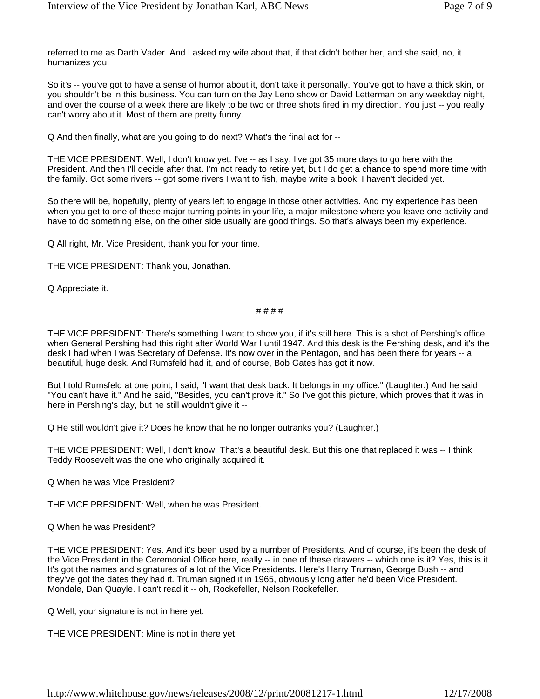referred to me as Darth Vader. And I asked my wife about that, if that didn't bother her, and she said, no, it humanizes you.

So it's -- you've got to have a sense of humor about it, don't take it personally. You've got to have a thick skin, or you shouldn't be in this business. You can turn on the Jay Leno show or David Letterman on any weekday night, and over the course of a week there are likely to be two or three shots fired in my direction. You just -- you really can't worry about it. Most of them are pretty funny.

Q And then finally, what are you going to do next? What's the final act for --

THE VICE PRESIDENT: Well, I don't know yet. I've -- as I say, I've got 35 more days to go here with the President. And then I'll decide after that. I'm not ready to retire yet, but I do get a chance to spend more time with the family. Got some rivers -- got some rivers I want to fish, maybe write a book. I haven't decided yet.

So there will be, hopefully, plenty of years left to engage in those other activities. And my experience has been when you get to one of these major turning points in your life, a major milestone where you leave one activity and have to do something else, on the other side usually are good things. So that's always been my experience.

Q All right, Mr. Vice President, thank you for your time.

THE VICE PRESIDENT: Thank you, Jonathan.

Q Appreciate it.

## # # # #

THE VICE PRESIDENT: There's something I want to show you, if it's still here. This is a shot of Pershing's office, when General Pershing had this right after World War I until 1947. And this desk is the Pershing desk, and it's the desk I had when I was Secretary of Defense. It's now over in the Pentagon, and has been there for years -- a beautiful, huge desk. And Rumsfeld had it, and of course, Bob Gates has got it now.

But I told Rumsfeld at one point, I said, "I want that desk back. It belongs in my office." (Laughter.) And he said, "You can't have it." And he said, "Besides, you can't prove it." So I've got this picture, which proves that it was in here in Pershing's day, but he still wouldn't give it --

Q He still wouldn't give it? Does he know that he no longer outranks you? (Laughter.)

THE VICE PRESIDENT: Well, I don't know. That's a beautiful desk. But this one that replaced it was -- I think Teddy Roosevelt was the one who originally acquired it.

Q When he was Vice President?

THE VICE PRESIDENT: Well, when he was President.

Q When he was President?

THE VICE PRESIDENT: Yes. And it's been used by a number of Presidents. And of course, it's been the desk of the Vice President in the Ceremonial Office here, really -- in one of these drawers -- which one is it? Yes, this is it. It's got the names and signatures of a lot of the Vice Presidents. Here's Harry Truman, George Bush -- and they've got the dates they had it. Truman signed it in 1965, obviously long after he'd been Vice President. Mondale, Dan Quayle. I can't read it -- oh, Rockefeller, Nelson Rockefeller.

Q Well, your signature is not in here yet.

THE VICE PRESIDENT: Mine is not in there yet.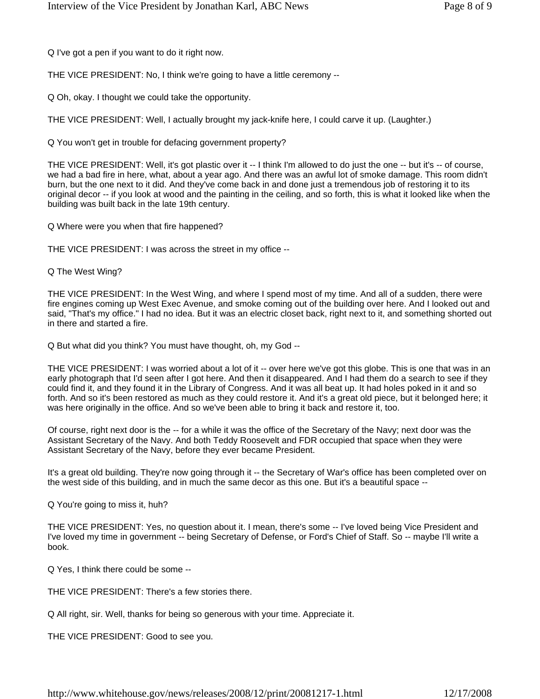Q I've got a pen if you want to do it right now.

THE VICE PRESIDENT: No, I think we're going to have a little ceremony --

Q Oh, okay. I thought we could take the opportunity.

THE VICE PRESIDENT: Well, I actually brought my jack-knife here, I could carve it up. (Laughter.)

Q You won't get in trouble for defacing government property?

THE VICE PRESIDENT: Well, it's got plastic over it -- I think I'm allowed to do just the one -- but it's -- of course, we had a bad fire in here, what, about a year ago. And there was an awful lot of smoke damage. This room didn't burn, but the one next to it did. And they've come back in and done just a tremendous job of restoring it to its original decor -- if you look at wood and the painting in the ceiling, and so forth, this is what it looked like when the building was built back in the late 19th century.

Q Where were you when that fire happened?

THE VICE PRESIDENT: I was across the street in my office --

Q The West Wing?

THE VICE PRESIDENT: In the West Wing, and where I spend most of my time. And all of a sudden, there were fire engines coming up West Exec Avenue, and smoke coming out of the building over here. And I looked out and said, "That's my office." I had no idea. But it was an electric closet back, right next to it, and something shorted out in there and started a fire.

Q But what did you think? You must have thought, oh, my God --

THE VICE PRESIDENT: I was worried about a lot of it -- over here we've got this globe. This is one that was in an early photograph that I'd seen after I got here. And then it disappeared. And I had them do a search to see if they could find it, and they found it in the Library of Congress. And it was all beat up. It had holes poked in it and so forth. And so it's been restored as much as they could restore it. And it's a great old piece, but it belonged here; it was here originally in the office. And so we've been able to bring it back and restore it, too.

Of course, right next door is the -- for a while it was the office of the Secretary of the Navy; next door was the Assistant Secretary of the Navy. And both Teddy Roosevelt and FDR occupied that space when they were Assistant Secretary of the Navy, before they ever became President.

It's a great old building. They're now going through it -- the Secretary of War's office has been completed over on the west side of this building, and in much the same decor as this one. But it's a beautiful space --

Q You're going to miss it, huh?

THE VICE PRESIDENT: Yes, no question about it. I mean, there's some -- I've loved being Vice President and I've loved my time in government -- being Secretary of Defense, or Ford's Chief of Staff. So -- maybe I'll write a book.

Q Yes, I think there could be some --

THE VICE PRESIDENT: There's a few stories there.

Q All right, sir. Well, thanks for being so generous with your time. Appreciate it.

THE VICE PRESIDENT: Good to see you.